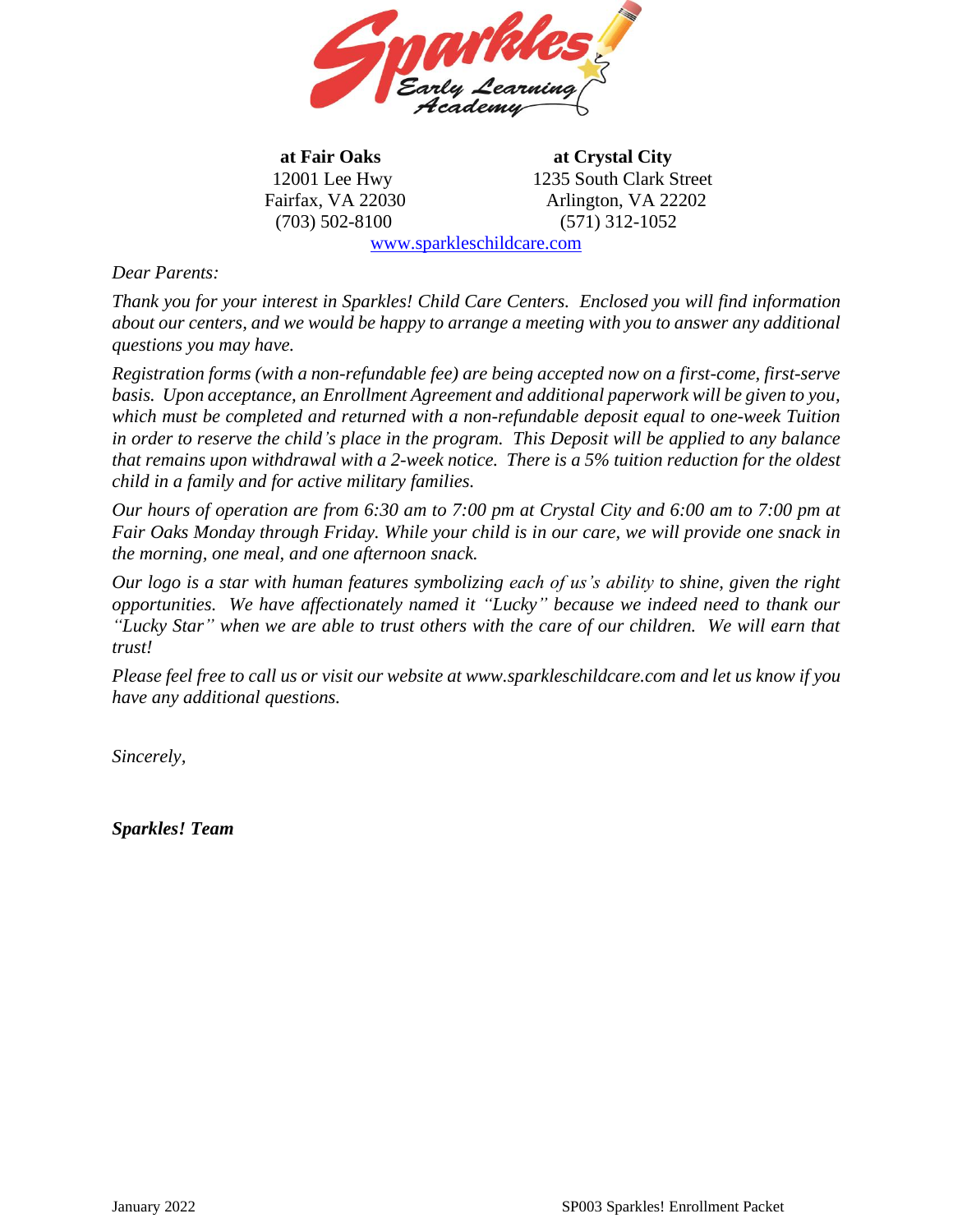

**at Fair Oaks at Crystal City** 12001 Lee Hwy 1235 South Clark Street Fairfax, VA 22030 Arlington, VA 22202 (703) 502-8100 (571) 312-1052

[www.sparkleschildcare.com](http://www.sparkleschildcare.com/)

## *Dear Parents:*

*Thank you for your interest in Sparkles! Child Care Centers. Enclosed you will find information about our centers, and we would be happy to arrange a meeting with you to answer any additional questions you may have.* 

*Registration forms (with a non-refundable fee) are being accepted now on a first-come, first-serve basis. Upon acceptance, an Enrollment Agreement and additional paperwork will be given to you, which must be completed and returned with a non-refundable deposit equal to one-week Tuition in order to reserve the child's place in the program. This Deposit will be applied to any balance that remains upon withdrawal with a 2-week notice. There is a 5% tuition reduction for the oldest child in a family and for active military families.*

*Our hours of operation are from 6:30 am to 7:00 pm at Crystal City and 6:00 am to 7:00 pm at Fair Oaks Monday through Friday. While your child is in our care, we will provide one snack in the morning, one meal, and one afternoon snack.* 

*Our logo is a star with human features symbolizing each of us's ability to shine, given the right opportunities. We have affectionately named it "Lucky" because we indeed need to thank our "Lucky Star" when we are able to trust others with the care of our children. We will earn that trust!*

*Please feel free to call us or visit our website at www.sparkleschildcare.com and let us know if you have any additional questions.* 

*Sincerely,*

*Sparkles! Team*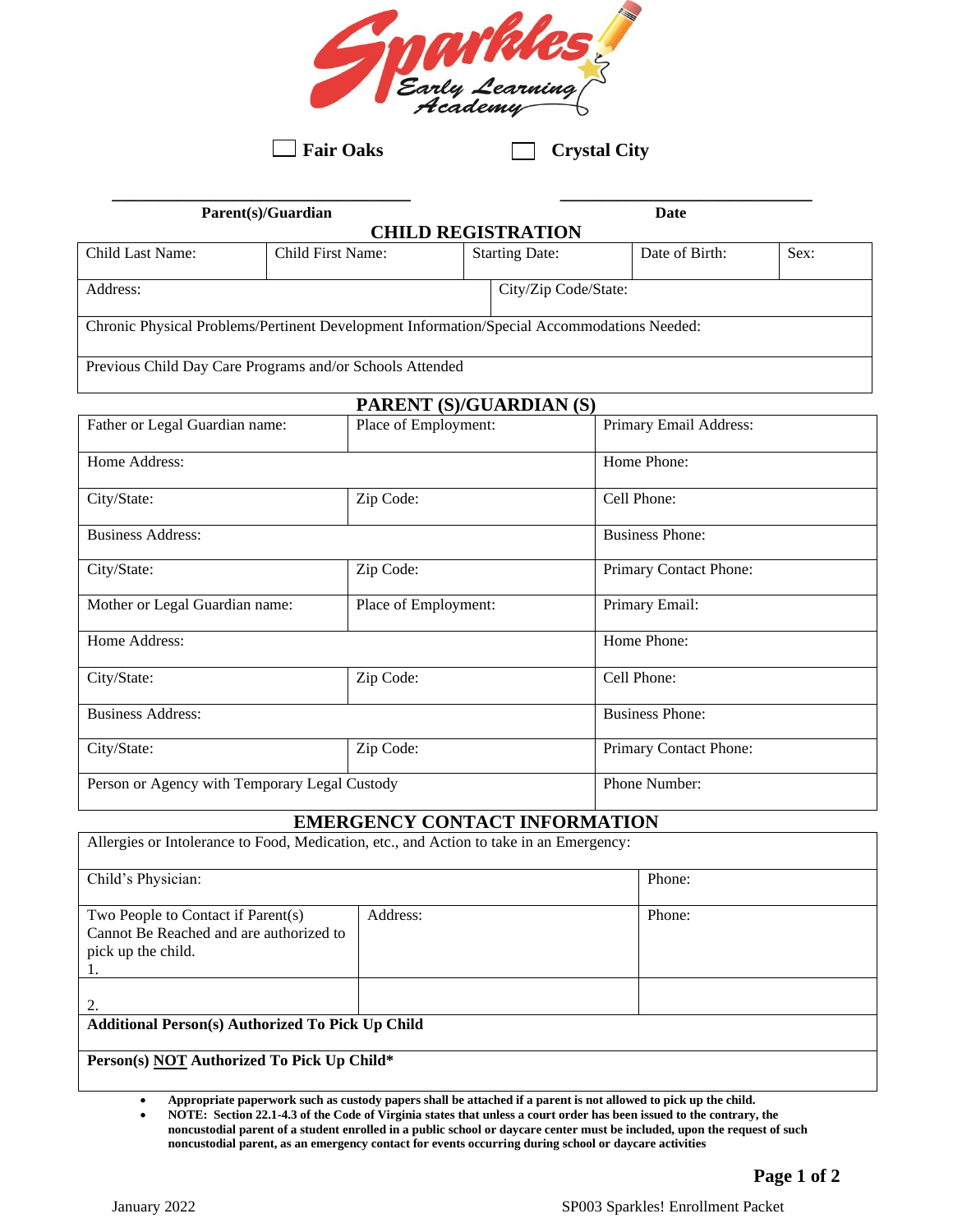

**Fair Oaks** Crystal City

| <b>CHILD REGISTRATION</b><br>Child First Name:<br>Date of Birth:<br><b>Starting Date:</b><br>Address:<br>City/Zip Code/State: | Parent(s)/Guardian |  | Date |      |
|-------------------------------------------------------------------------------------------------------------------------------|--------------------|--|------|------|
| Child Last Name:<br>Chronic Physical Problems/Pertinent Development Information/Special Accommodations Needed:                |                    |  |      |      |
|                                                                                                                               |                    |  |      | Sex: |
|                                                                                                                               |                    |  |      |      |
|                                                                                                                               |                    |  |      |      |
|                                                                                                                               |                    |  |      |      |
|                                                                                                                               |                    |  |      |      |
| Previous Child Day Care Programs and/or Schools Attended                                                                      |                    |  |      |      |

| PARENT (S)/GUARDIAN (S)                       |                      |                        |  |
|-----------------------------------------------|----------------------|------------------------|--|
| Father or Legal Guardian name:                | Place of Employment: | Primary Email Address: |  |
| Home Address:                                 |                      | Home Phone:            |  |
| City/State:                                   | Zip Code:            | Cell Phone:            |  |
| <b>Business Address:</b>                      |                      | <b>Business Phone:</b> |  |
| City/State:                                   | Zip Code:            | Primary Contact Phone: |  |
| Mother or Legal Guardian name:                | Place of Employment: | Primary Email:         |  |
| Home Address:                                 |                      | Home Phone:            |  |
| City/State:                                   | Zip Code:            | Cell Phone:            |  |
| <b>Business Address:</b>                      |                      | <b>Business Phone:</b> |  |
| City/State:                                   | Zip Code:            | Primary Contact Phone: |  |
| Person or Agency with Temporary Legal Custody |                      | Phone Number:          |  |

#### **EMERGENCY CONTACT INFORMATION**

| Allergies or Intolerance to Food, Medication, etc., and Action to take in an Emergency:             |          |        |  |  |
|-----------------------------------------------------------------------------------------------------|----------|--------|--|--|
| Child's Physician:                                                                                  |          | Phone: |  |  |
| Two People to Contact if Parent(s)<br>Cannot Be Reached and are authorized to<br>pick up the child. | Address: | Phone: |  |  |
| 2.                                                                                                  |          |        |  |  |
| <b>Additional Person(s) Authorized To Pick Up Child</b>                                             |          |        |  |  |
| Person(s) NOT Authorized To Pick Up Child*                                                          |          |        |  |  |

• **Appropriate paperwork such as custody papers shall be attached if a parent is not allowed to pick up the child.**

• **NOTE: Section 22.1-4.3 of the Code of Virginia states that unless a court order has been issued to the contrary, the noncustodial parent of a student enrolled in a public school or daycare center must be included, upon the request of such noncustodial parent, as an emergency contact for events occurring during school or daycare activities**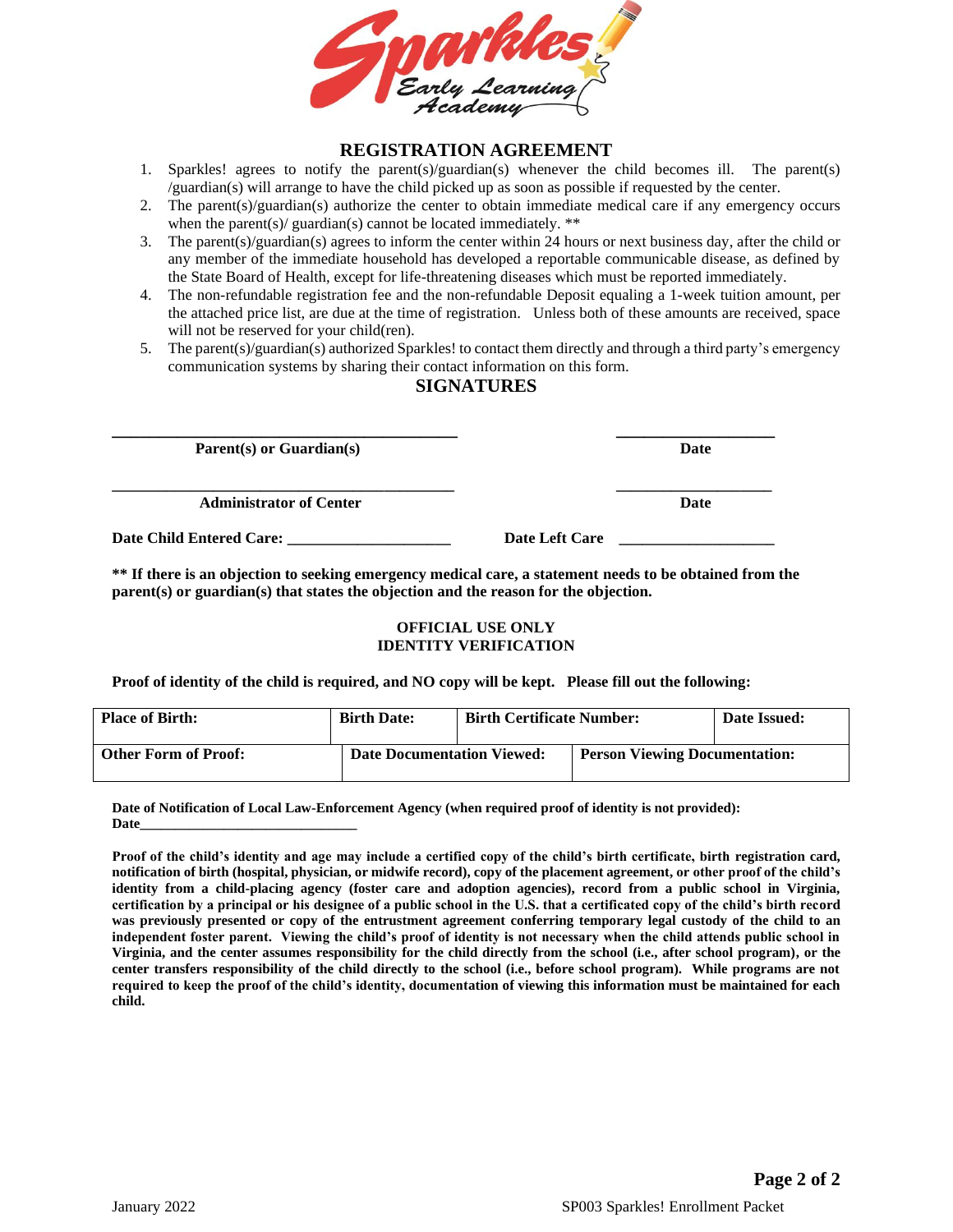

#### **REGISTRATION AGREEMENT**

- 1. Sparkles! agrees to notify the parent(s)/guardian(s) whenever the child becomes ill. The parent(s) /guardian(s) will arrange to have the child picked up as soon as possible if requested by the center.
- 2. The parent(s)/guardian(s) authorize the center to obtain immediate medical care if any emergency occurs when the parent(s)/ guardian(s) cannot be located immediately. \*\*
- 3. The parent(s)/guardian(s) agrees to inform the center within 24 hours or next business day, after the child or any member of the immediate household has developed a reportable communicable disease, as defined by the State Board of Health, except for life-threatening diseases which must be reported immediately.
- 4. The non-refundable registration fee and the non-refundable Deposit equaling a 1-week tuition amount, per the attached price list, are due at the time of registration. Unless both of these amounts are received, space will not be reserved for your child(ren).
- 5. The parent(s)/guardian(s) authorized Sparkles! to contact them directly and through a third party's emergency communication systems by sharing their contact information on this form.

## **SIGNATURES**

| $Parent(s)$ or Guardian(s)     |                | Date |
|--------------------------------|----------------|------|
| <b>Administrator of Center</b> |                | Date |
| Date Child Entered Care:       | Date Left Care |      |

**\*\* If there is an objection to seeking emergency medical care, a statement needs to be obtained from the parent(s) or guardian(s) that states the objection and the reason for the objection.**

#### **OFFICIAL USE ONLY IDENTITY VERIFICATION**

**Proof of identity of the child is required, and NO copy will be kept. Please fill out the following:**

| <b>Place of Birth:</b>      | <b>Birth Date:</b>                | <b>Birth Certificate Number:</b> |                                      | Date Issued: |
|-----------------------------|-----------------------------------|----------------------------------|--------------------------------------|--------------|
| <b>Other Form of Proof:</b> | <b>Date Documentation Viewed:</b> |                                  | <b>Person Viewing Documentation:</b> |              |

**Date of Notification of Local Law-Enforcement Agency (when required proof of identity is not provided): Date\_\_\_\_\_\_\_\_\_\_\_\_\_\_\_\_\_\_\_\_\_\_\_\_\_\_\_\_\_\_\_**

**Proof of the child's identity and age may include a certified copy of the child's birth certificate, birth registration card, notification of birth (hospital, physician, or midwife record), copy of the placement agreement, or other proof of the child's identity from a child-placing agency (foster care and adoption agencies), record from a public school in Virginia, certification by a principal or his designee of a public school in the U.S. that a certificated copy of the child's birth record was previously presented or copy of the entrustment agreement conferring temporary legal custody of the child to an independent foster parent. Viewing the child's proof of identity is not necessary when the child attends public school in Virginia, and the center assumes responsibility for the child directly from the school (i.e., after school program), or the center transfers responsibility of the child directly to the school (i.e., before school program). While programs are not required to keep the proof of the child's identity, documentation of viewing this information must be maintained for each child.**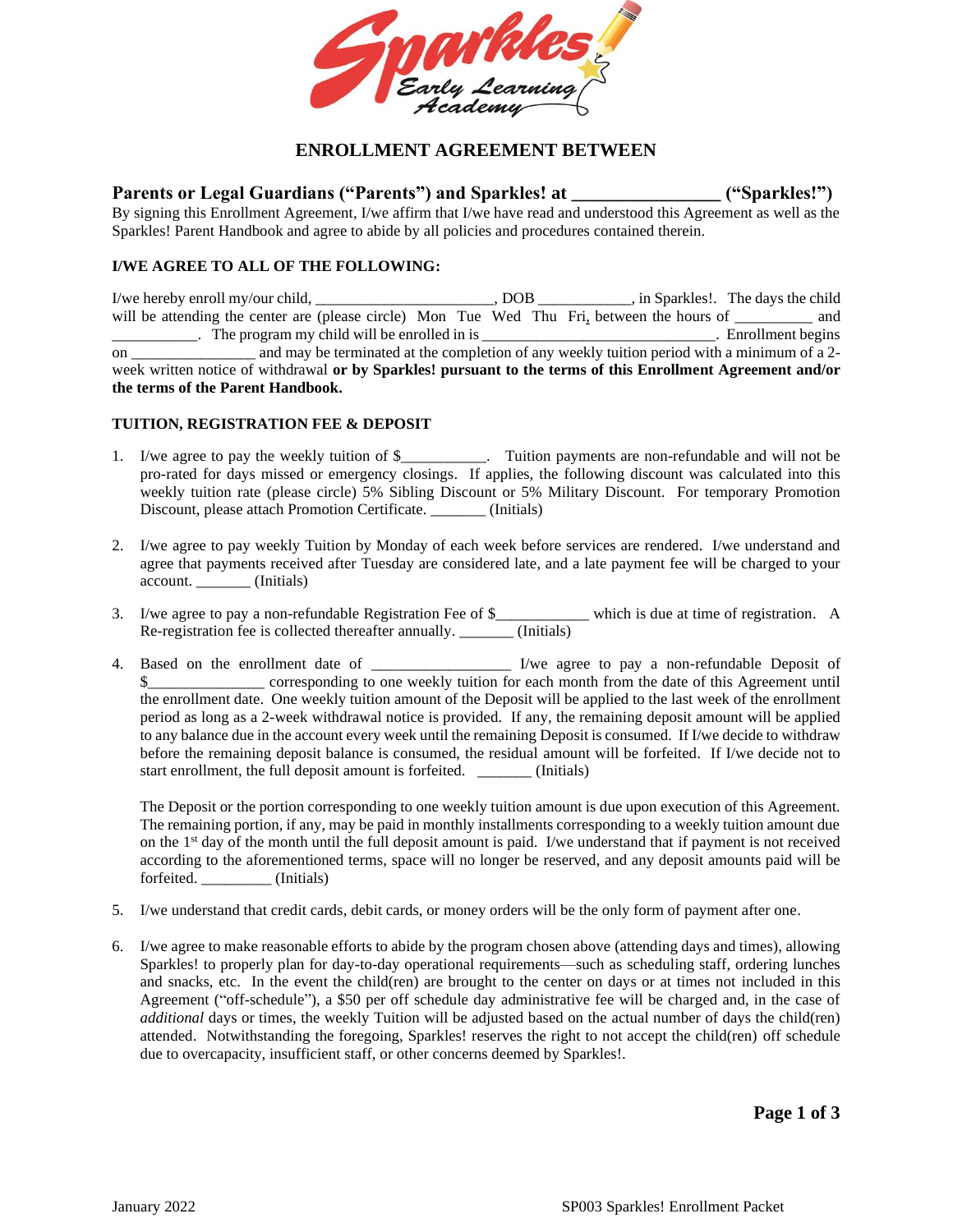

## **ENROLLMENT AGREEMENT BETWEEN**

**Parents or Legal Guardians ("Parents") and Sparkles! at \_\_\_\_\_\_\_\_\_\_\_\_\_\_\_\_ ("Sparkles!")**

By signing this Enrollment Agreement, I/we affirm that I/we have read and understood this Agreement as well as the Sparkles! Parent Handbook and agree to abide by all policies and procedures contained therein.

#### **I/WE AGREE TO ALL OF THE FOLLOWING:**

I/we hereby enroll my/our child, \_\_\_\_\_\_\_\_\_\_\_\_\_\_\_\_\_\_\_\_\_\_\_, DOB \_\_\_\_\_\_\_\_\_\_\_\_, in Sparkles!. The days the child will be attending the center are (please circle) Mon Tue Wed Thu Fri, between the hours of \_\_\_\_\_\_\_\_\_ and \_\_\_\_\_\_\_\_\_\_\_. The program my child will be enrolled in is \_\_\_\_\_\_\_\_\_\_\_\_\_\_\_\_\_\_\_\_\_\_\_\_\_\_\_\_\_\_. Enrollment begins on \_\_\_\_\_\_\_\_\_\_\_\_\_\_\_\_ and may be terminated at the completion of any weekly tuition period with a minimum of a 2 week written notice of withdrawal **or by Sparkles! pursuant to the terms of this Enrollment Agreement and/or the terms of the Parent Handbook.** 

#### **TUITION, REGISTRATION FEE & DEPOSIT**

- 1. I/we agree to pay the weekly tuition of \$\_\_\_\_\_\_\_\_\_\_\_. Tuition payments are non-refundable and will not be pro-rated for days missed or emergency closings. If applies, the following discount was calculated into this weekly tuition rate (please circle) 5% Sibling Discount or 5% Military Discount. For temporary Promotion Discount, please attach Promotion Certificate. \_\_\_\_\_\_\_ (Initials)
- 2. I/we agree to pay weekly Tuition by Monday of each week before services are rendered. I/we understand and agree that payments received after Tuesday are considered late, and a late payment fee will be charged to your account. \_\_\_\_\_\_\_ (Initials)
- 3. I/we agree to pay a non-refundable Registration Fee of \$\_\_\_\_\_\_\_\_\_\_\_\_ which is due at time of registration. A Re-registration fee is collected thereafter annually. \_\_\_\_\_\_\_ (Initials)
- 4. Based on the enrollment date of \_\_\_\_\_\_\_\_\_\_\_\_\_\_\_\_\_\_ I/we agree to pay a non-refundable Deposit of \$\_\_\_\_\_\_\_\_\_\_\_\_\_\_\_\_ corresponding to one weekly tuition for each month from the date of this Agreement until the enrollment date. One weekly tuition amount of the Deposit will be applied to the last week of the enrollment period as long as a 2-week withdrawal notice is provided. If any, the remaining deposit amount will be applied to any balance due in the account every week until the remaining Deposit is consumed. If I/we decide to withdraw before the remaining deposit balance is consumed, the residual amount will be forfeited. If I/we decide not to start enrollment, the full deposit amount is forfeited. \_\_\_\_\_\_\_ (Initials)

The Deposit or the portion corresponding to one weekly tuition amount is due upon execution of this Agreement. The remaining portion, if any, may be paid in monthly installments corresponding to a weekly tuition amount due on the 1<sup>st</sup> day of the month until the full deposit amount is paid. I/we understand that if payment is not received according to the aforementioned terms, space will no longer be reserved, and any deposit amounts paid will be forfeited. (Initials)

- 5. I/we understand that credit cards, debit cards, or money orders will be the only form of payment after one.
- 6. I/we agree to make reasonable efforts to abide by the program chosen above (attending days and times), allowing Sparkles! to properly plan for day-to-day operational requirements—such as scheduling staff, ordering lunches and snacks, etc. In the event the child(ren) are brought to the center on days or at times not included in this Agreement ("off-schedule"), a \$50 per off schedule day administrative fee will be charged and, in the case of *additional* days or times, the weekly Tuition will be adjusted based on the actual number of days the child(ren) attended. Notwithstanding the foregoing, Sparkles! reserves the right to not accept the child(ren) off schedule due to overcapacity, insufficient staff, or other concerns deemed by Sparkles!.

**Page 1 of 3**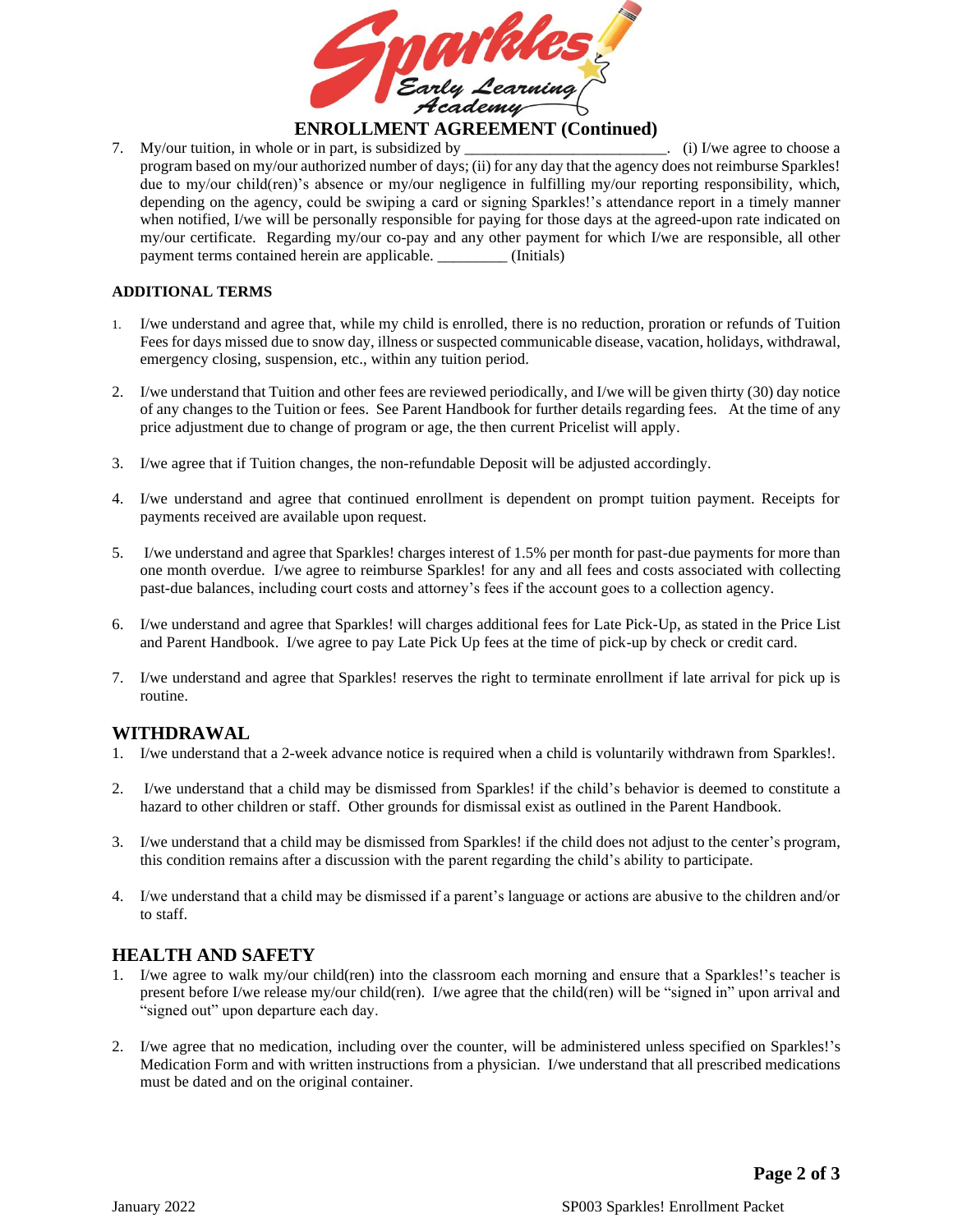

7. My/our tuition, in whole or in part, is subsidized by \_\_\_\_\_\_\_\_\_\_\_\_\_\_\_\_\_\_\_\_\_\_. (i) I/we agree to choose a program based on my/our authorized number of days; (ii) for any day that the agency does not reimburse Sparkles! due to my/our child(ren)'s absence or my/our negligence in fulfilling my/our reporting responsibility, which, depending on the agency, could be swiping a card or signing Sparkles!'s attendance report in a timely manner when notified, I/we will be personally responsible for paying for those days at the agreed-upon rate indicated on my/our certificate. Regarding my/our co-pay and any other payment for which I/we are responsible, all other payment terms contained herein are applicable. \_\_\_\_\_\_\_\_\_ (Initials)

#### **ADDITIONAL TERMS**

- 1. I/we understand and agree that, while my child is enrolled, there is no reduction, proration or refunds of Tuition Fees for days missed due to snow day, illness or suspected communicable disease, vacation, holidays, withdrawal, emergency closing, suspension, etc., within any tuition period.
- 2. I/we understand that Tuition and other fees are reviewed periodically, and I/we will be given thirty (30) day notice of any changes to the Tuition or fees. See Parent Handbook for further details regarding fees. At the time of any price adjustment due to change of program or age, the then current Pricelist will apply*.*
- 3. I/we agree that if Tuition changes, the non-refundable Deposit will be adjusted accordingly.
- 4. I/we understand and agree that continued enrollment is dependent on prompt tuition payment. Receipts for payments received are available upon request.
- 5. I/we understand and agree that Sparkles! charges interest of 1.5% per month for past-due payments for more than one month overdue. I/we agree to reimburse Sparkles! for any and all fees and costs associated with collecting past-due balances, including court costs and attorney's fees if the account goes to a collection agency.
- 6. I/we understand and agree that Sparkles! will charges additional fees for Late Pick-Up, as stated in the Price List and Parent Handbook. I/we agree to pay Late Pick Up fees at the time of pick-up by check or credit card.
- 7. I/we understand and agree that Sparkles! reserves the right to terminate enrollment if late arrival for pick up is routine.

#### **WITHDRAWAL**

- 1. I/we understand that a 2-week advance notice is required when a child is voluntarily withdrawn from Sparkles!.
- 2. I/we understand that a child may be dismissed from Sparkles! if the child's behavior is deemed to constitute a hazard to other children or staff. Other grounds for dismissal exist as outlined in the Parent Handbook.
- 3. I/we understand that a child may be dismissed from Sparkles! if the child does not adjust to the center's program, this condition remains after a discussion with the parent regarding the child's ability to participate.
- 4. I/we understand that a child may be dismissed if a parent's language or actions are abusive to the children and/or to staff.

#### **HEALTH AND SAFETY**

- 1. I/we agree to walk my/our child(ren) into the classroom each morning and ensure that a Sparkles!'s teacher is present before I/we release my/our child(ren). I/we agree that the child(ren) will be "signed in" upon arrival and "signed out" upon departure each day.
- 2. I/we agree that no medication, including over the counter, will be administered unless specified on Sparkles!'s Medication Form and with written instructions from a physician. I/we understand that all prescribed medications must be dated and on the original container.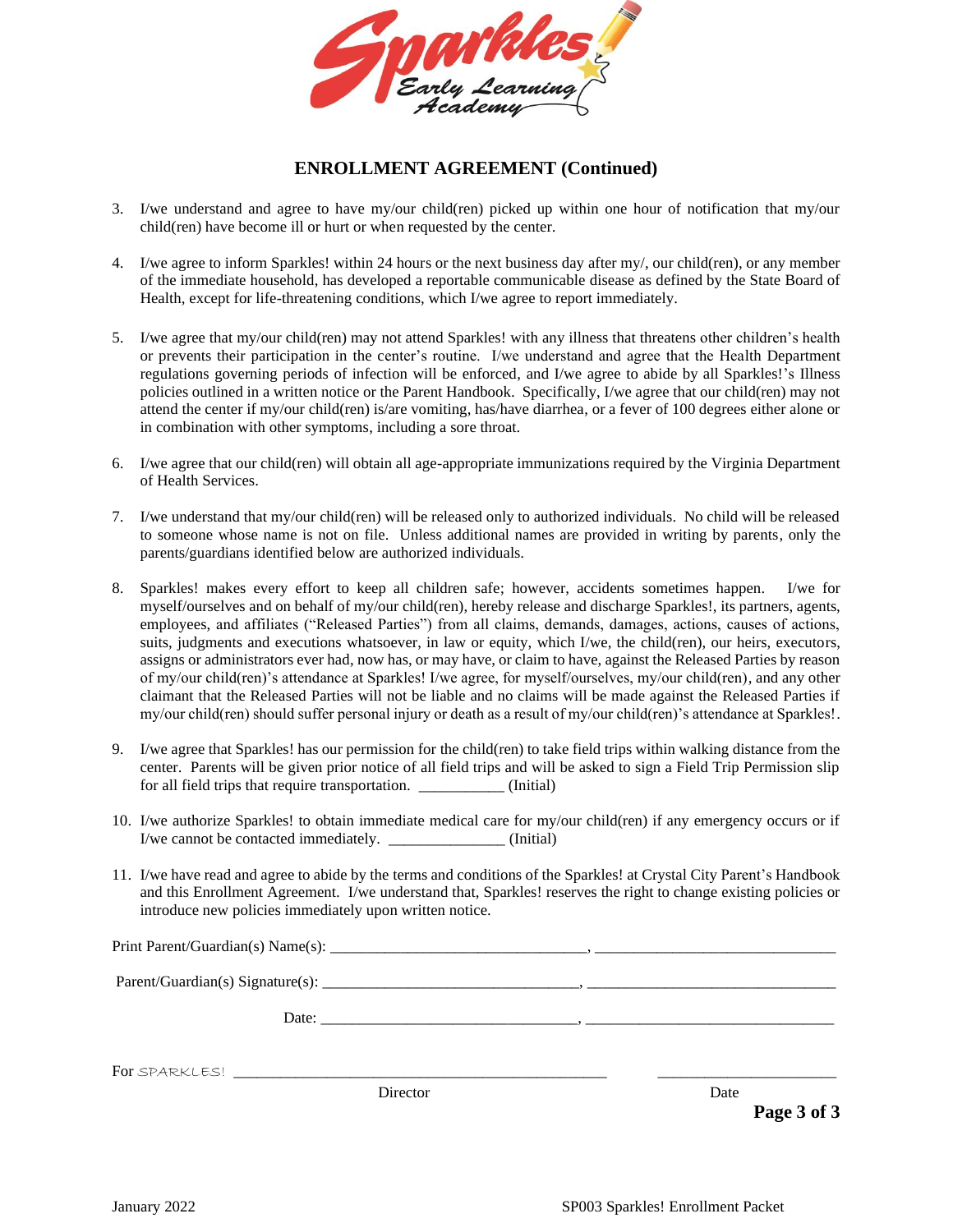

## **ENROLLMENT AGREEMENT (Continued)**

- 3. I/we understand and agree to have my/our child(ren) picked up within one hour of notification that my/our child(ren) have become ill or hurt or when requested by the center.
- 4. I/we agree to inform Sparkles! within 24 hours or the next business day after my/, our child(ren), or any member of the immediate household, has developed a reportable communicable disease as defined by the State Board of Health, except for life-threatening conditions, which I/we agree to report immediately.
- 5. I/we agree that my/our child(ren) may not attend Sparkles! with any illness that threatens other children's health or prevents their participation in the center's routine. I/we understand and agree that the Health Department regulations governing periods of infection will be enforced, and I/we agree to abide by all Sparkles!'s Illness policies outlined in a written notice or the Parent Handbook. Specifically, I/we agree that our child(ren) may not attend the center if my/our child(ren) is/are vomiting, has/have diarrhea, or a fever of 100 degrees either alone or in combination with other symptoms, including a sore throat.
- 6. I/we agree that our child(ren) will obtain all age-appropriate immunizations required by the Virginia Department of Health Services.
- 7. I/we understand that my/our child(ren) will be released only to authorized individuals. No child will be released to someone whose name is not on file. Unless additional names are provided in writing by parents, only the parents/guardians identified below are authorized individuals.
- 8. Sparkles! makes every effort to keep all children safe; however, accidents sometimes happen. I/we for myself/ourselves and on behalf of my/our child(ren), hereby release and discharge Sparkles!, its partners, agents, employees, and affiliates ("Released Parties") from all claims, demands, damages, actions, causes of actions, suits, judgments and executions whatsoever, in law or equity, which I/we, the child(ren), our heirs, executors, assigns or administrators ever had, now has, or may have, or claim to have, against the Released Parties by reason of my/our child(ren)'s attendance at Sparkles! I/we agree, for myself/ourselves, my/our child(ren), and any other claimant that the Released Parties will not be liable and no claims will be made against the Released Parties if my/our child(ren) should suffer personal injury or death as a result of my/our child(ren)'s attendance at Sparkles!.
- 9. I/we agree that Sparkles! has our permission for the child(ren) to take field trips within walking distance from the center. Parents will be given prior notice of all field trips and will be asked to sign a Field Trip Permission slip for all field trips that require transportation. \_\_\_\_\_\_\_\_\_\_\_ (Initial)
- 10. I/we authorize Sparkles! to obtain immediate medical care for my/our child(ren) if any emergency occurs or if I/we cannot be contacted immediately. \_\_\_\_\_\_\_\_\_\_\_\_\_\_\_ (Initial)
- 11. I/we have read and agree to abide by the terms and conditions of the Sparkles! at Crystal City Parent's Handbook and this Enrollment Agreement. I/we understand that, Sparkles! reserves the right to change existing policies or introduce new policies immediately upon written notice.

Print Parent/Guardian(s) Name(s): \_\_\_\_\_\_\_\_\_\_\_\_\_\_\_\_\_\_\_\_\_\_\_\_\_\_\_\_\_\_\_\_\_, \_\_\_\_\_\_\_\_\_\_\_\_\_\_\_\_\_\_\_\_\_\_\_\_\_\_\_\_\_\_\_

Parent/Guardian(s) Signature(s): \_\_\_\_\_\_\_\_\_\_\_\_\_\_\_\_\_\_\_\_\_\_\_\_\_\_\_\_\_\_\_\_\_, \_\_\_\_\_\_\_\_\_\_\_\_\_\_\_\_\_\_\_\_\_\_\_\_\_\_\_\_\_\_\_\_

Date: \_\_\_\_\_\_\_\_\_\_\_\_\_\_\_\_\_\_\_\_\_\_\_\_\_\_\_\_\_\_\_\_\_, \_\_\_\_\_\_\_\_\_\_\_\_\_\_\_\_\_\_\_\_\_\_\_\_\_\_\_\_\_\_\_\_

For SPARKLES!

Director Date

**Page 3 of 3**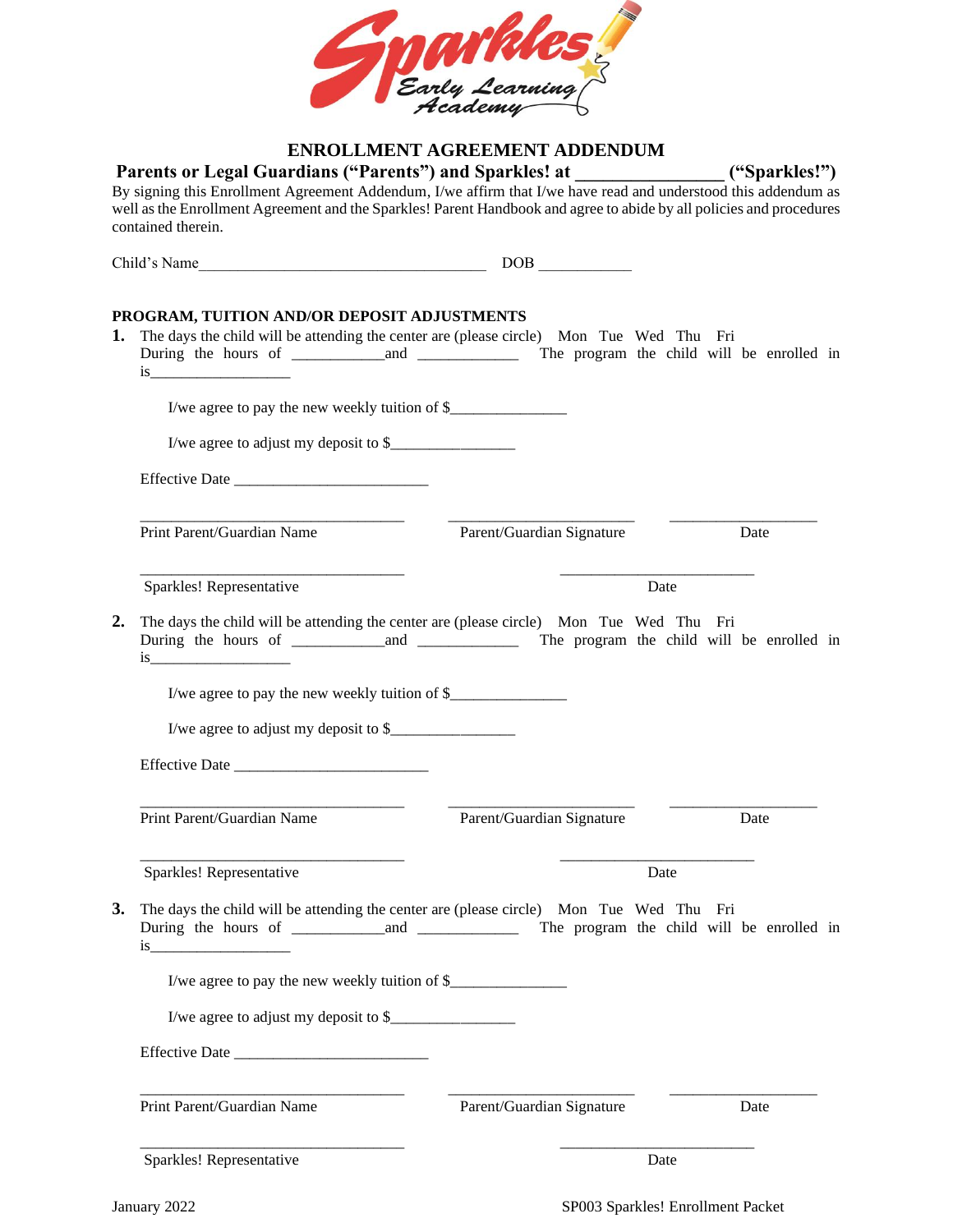

## **ENROLLMENT AGREEMENT ADDENDUM**

Parents or Legal Guardians ("Parents") and Sparkles! at \_\_\_\_\_\_\_\_\_\_\_\_\_\_\_("Sparkles!") By signing this Enrollment Agreement Addendum, I/we affirm that I/we have read and understood this addendum as well as the Enrollment Agreement and the Sparkles! Parent Handbook and agree to abide by all policies and procedures contained therein.

| Child's Name                                                                                                                           | DOB <sub>1</sub>          |      |      |  |
|----------------------------------------------------------------------------------------------------------------------------------------|---------------------------|------|------|--|
| PROGRAM, TUITION AND/OR DEPOSIT ADJUSTMENTS<br>The days the child will be attending the center are (please circle) Mon Tue Wed Thu Fri |                           |      |      |  |
| I/we agree to pay the new weekly tuition of \$                                                                                         |                           |      |      |  |
| I/we agree to adjust my deposit to \$                                                                                                  |                           |      |      |  |
|                                                                                                                                        |                           |      |      |  |
| Print Parent/Guardian Name                                                                                                             | Parent/Guardian Signature |      | Date |  |
| Sparkles! Representative                                                                                                               |                           | Date |      |  |
| The days the child will be attending the center are (please circle) Mon Tue Wed Thu Fri                                                |                           |      |      |  |
|                                                                                                                                        |                           |      |      |  |
| I/we agree to pay the new weekly tuition of \$                                                                                         |                           |      |      |  |
| I/we agree to adjust my deposit to \$                                                                                                  |                           |      |      |  |
|                                                                                                                                        |                           |      |      |  |
| Print Parent/Guardian Name                                                                                                             | Parent/Guardian Signature |      | Date |  |
| Sparkles! Representative                                                                                                               |                           | Date |      |  |
| The days the child will be attending the center are (please circle) Mon Tue Wed Thu Fri<br>is                                          |                           |      |      |  |
|                                                                                                                                        |                           |      |      |  |
|                                                                                                                                        |                           |      |      |  |
|                                                                                                                                        |                           |      |      |  |

Sparkles! Representative Date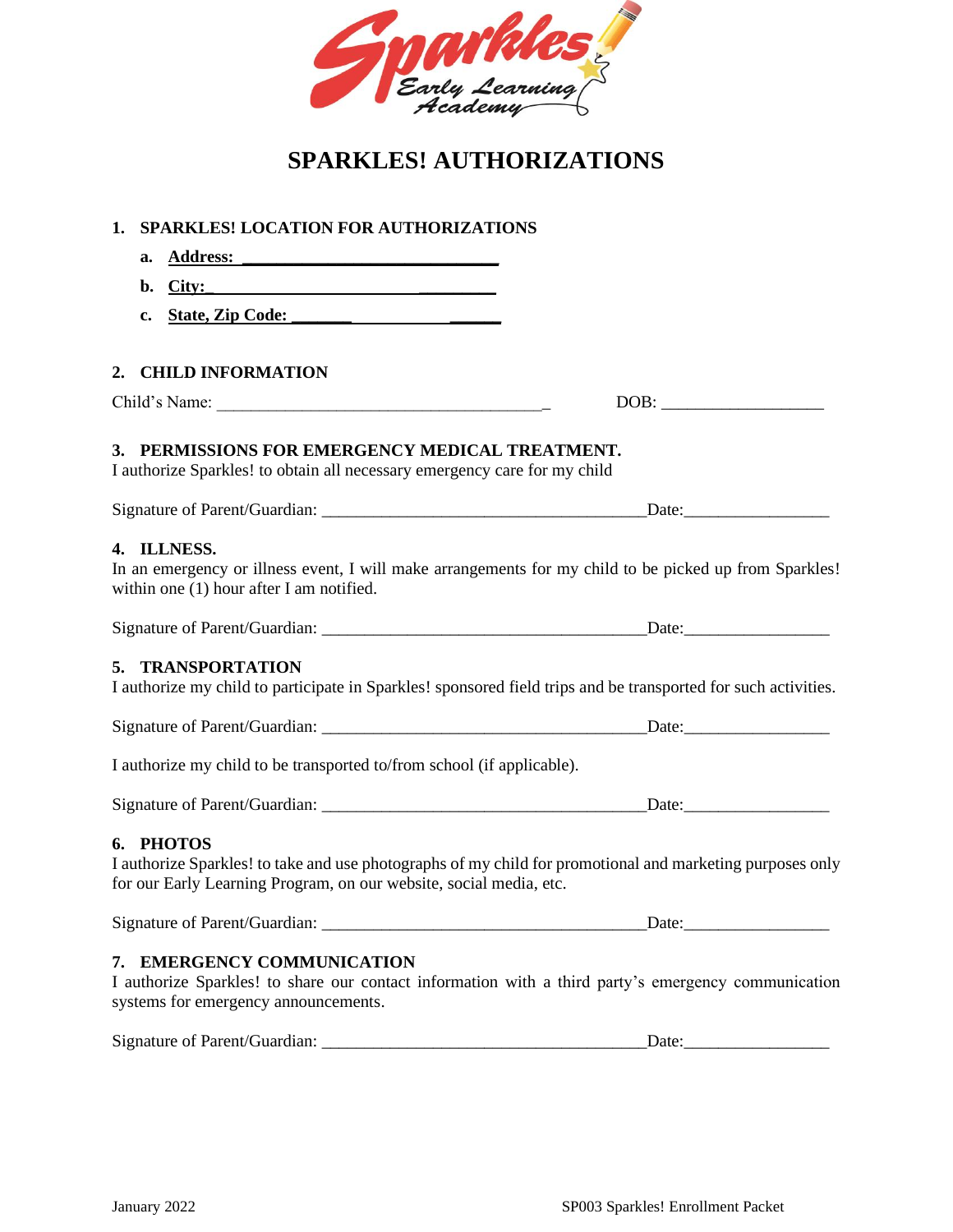

# **SPARKLES! AUTHORIZATIONS**

| <b>SPARKLES! LOCATION FOR AUTHORIZATIONS</b><br>1.                                                                                                                                                                                   |                                                                                                                |
|--------------------------------------------------------------------------------------------------------------------------------------------------------------------------------------------------------------------------------------|----------------------------------------------------------------------------------------------------------------|
| Address: Andrea Maria Company of the Company of the Company of the Company of the Company of the Company of the Company of the Company of the Company of the Company of the Company of the Company of the Company of the Compa<br>a. |                                                                                                                |
| $\text{City:}\n$<br>b.                                                                                                                                                                                                               |                                                                                                                |
| $c_{\bullet}$                                                                                                                                                                                                                        |                                                                                                                |
|                                                                                                                                                                                                                                      |                                                                                                                |
| 2. CHILD INFORMATION                                                                                                                                                                                                                 |                                                                                                                |
|                                                                                                                                                                                                                                      |                                                                                                                |
| 3. PERMISSIONS FOR EMERGENCY MEDICAL TREATMENT.<br>I authorize Sparkles! to obtain all necessary emergency care for my child                                                                                                         |                                                                                                                |
|                                                                                                                                                                                                                                      |                                                                                                                |
| 4. ILLNESS.<br>within one $(1)$ hour after I am notified.                                                                                                                                                                            | In an emergency or illness event, I will make arrangements for my child to be picked up from Sparkles!         |
|                                                                                                                                                                                                                                      |                                                                                                                |
| 5. TRANSPORTATION                                                                                                                                                                                                                    | I authorize my child to participate in Sparkles! sponsored field trips and be transported for such activities. |
|                                                                                                                                                                                                                                      |                                                                                                                |
| I authorize my child to be transported to/from school (if applicable).                                                                                                                                                               |                                                                                                                |
|                                                                                                                                                                                                                                      |                                                                                                                |
| 6. PHOTOS<br>for our Early Learning Program, on our website, social media, etc.                                                                                                                                                      | I authorize Sparkles! to take and use photographs of my child for promotional and marketing purposes only      |
|                                                                                                                                                                                                                                      | Date:                                                                                                          |
| 7. EMERGENCY COMMUNICATION<br>systems for emergency announcements.                                                                                                                                                                   | I authorize Sparkles! to share our contact information with a third party's emergency communication            |
|                                                                                                                                                                                                                                      | Date:                                                                                                          |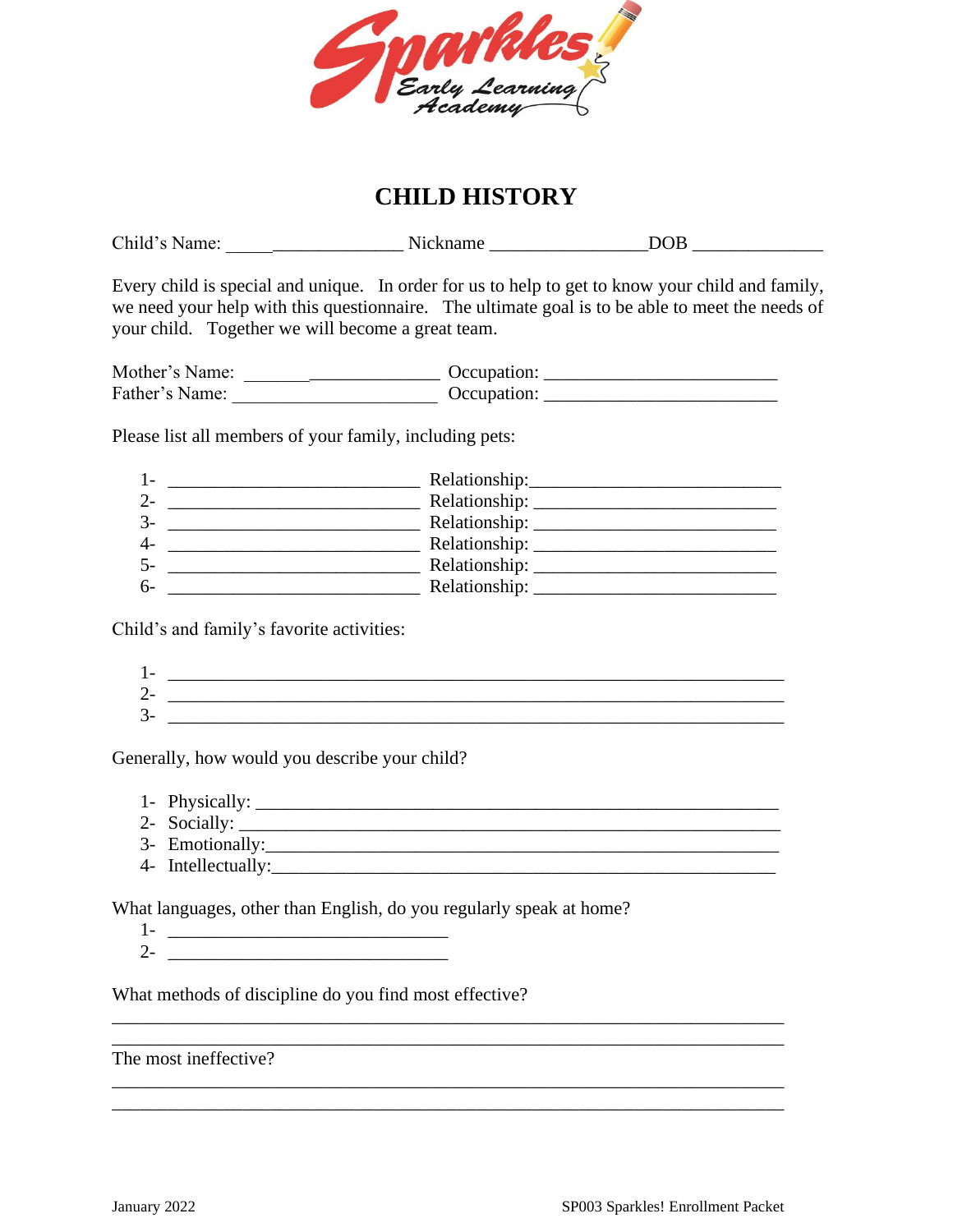

## **CHILD HISTORY**

| your child. Together we will become a great team.                                                                                         | Every child is special and unique. In order for us to help to get to know your child and family,<br>we need your help with this questionnaire. The ultimate goal is to be able to meet the needs of |
|-------------------------------------------------------------------------------------------------------------------------------------------|-----------------------------------------------------------------------------------------------------------------------------------------------------------------------------------------------------|
|                                                                                                                                           |                                                                                                                                                                                                     |
|                                                                                                                                           |                                                                                                                                                                                                     |
| Please list all members of your family, including pets:                                                                                   |                                                                                                                                                                                                     |
| $1-$                                                                                                                                      |                                                                                                                                                                                                     |
|                                                                                                                                           |                                                                                                                                                                                                     |
| $3-$                                                                                                                                      |                                                                                                                                                                                                     |
| $4-$                                                                                                                                      |                                                                                                                                                                                                     |
| $5-$                                                                                                                                      |                                                                                                                                                                                                     |
| $6-$                                                                                                                                      |                                                                                                                                                                                                     |
| Child's and family's favorite activities:                                                                                                 |                                                                                                                                                                                                     |
| $1 -$                                                                                                                                     |                                                                                                                                                                                                     |
| $2 -$                                                                                                                                     |                                                                                                                                                                                                     |
| $\overline{3}$ -<br><u> 1980 - Antonio Alemania, prima prima prestava de la provincia de la provincia de la provincia de la provincia</u> |                                                                                                                                                                                                     |
|                                                                                                                                           |                                                                                                                                                                                                     |

Generally, how would you describe your child?

- 1- Physically: \_\_\_\_\_\_\_\_\_\_\_\_\_\_\_\_\_\_\_\_\_\_\_\_\_\_\_\_\_\_\_\_\_\_\_\_\_\_\_\_\_\_\_\_\_\_\_\_\_\_\_\_\_\_\_\_
- 2- Socially: \_\_\_\_\_\_\_\_\_\_\_\_\_\_\_\_\_\_\_\_\_\_\_\_\_\_\_\_\_\_\_\_\_\_\_\_\_\_\_\_\_\_\_\_\_\_\_\_\_\_\_\_\_\_\_\_\_\_
- 3- Emotionally: 2008 and 2008 and 2008 and 2008 and 2008 and 2008 and 2008 and 2008 and 2008 and 2008 and 2008 and 2008 and 2008 and 2008 and 2008 and 2008 and 2008 and 2008 and 2008 and 2008 and 2008 and 2008 and 2008 and
- 4- Intellectually:\_\_\_\_\_\_\_\_\_\_\_\_\_\_\_\_\_\_\_\_\_\_\_\_\_\_\_\_\_\_\_\_\_\_\_\_\_\_\_\_\_\_\_\_\_\_\_\_\_\_\_\_\_\_

What languages, other than English, do you regularly speak at home?

\_\_\_\_\_\_\_\_\_\_\_\_\_\_\_\_\_\_\_\_\_\_\_\_\_\_\_\_\_\_\_\_\_\_\_\_\_\_\_\_\_\_\_\_\_\_\_\_\_\_\_\_\_\_\_\_\_\_\_\_\_\_\_\_\_\_\_\_\_\_\_\_

\_\_\_\_\_\_\_\_\_\_\_\_\_\_\_\_\_\_\_\_\_\_\_\_\_\_\_\_\_\_\_\_\_\_\_\_\_\_\_\_\_\_\_\_\_\_\_\_\_\_\_\_\_\_\_\_\_\_\_\_\_\_\_\_\_\_\_\_\_\_\_\_ \_\_\_\_\_\_\_\_\_\_\_\_\_\_\_\_\_\_\_\_\_\_\_\_\_\_\_\_\_\_\_\_\_\_\_\_\_\_\_\_\_\_\_\_\_\_\_\_\_\_\_\_\_\_\_\_\_\_\_\_\_\_\_\_\_\_\_\_\_\_\_\_

1- \_\_\_\_\_\_\_\_\_\_\_\_\_\_\_\_\_\_\_\_\_\_\_\_\_\_\_\_\_\_ 2- \_\_\_\_\_\_\_\_\_\_\_\_\_\_\_\_\_\_\_\_\_\_\_\_\_\_\_\_\_\_

What methods of discipline do you find most effective?

The most ineffective?

\_\_\_\_\_\_\_\_\_\_\_\_\_\_\_\_\_\_\_\_\_\_\_\_\_\_\_\_\_\_\_\_\_\_\_\_\_\_\_\_\_\_\_\_\_\_\_\_\_\_\_\_\_\_\_\_\_\_\_\_\_\_\_\_\_\_\_\_\_\_\_\_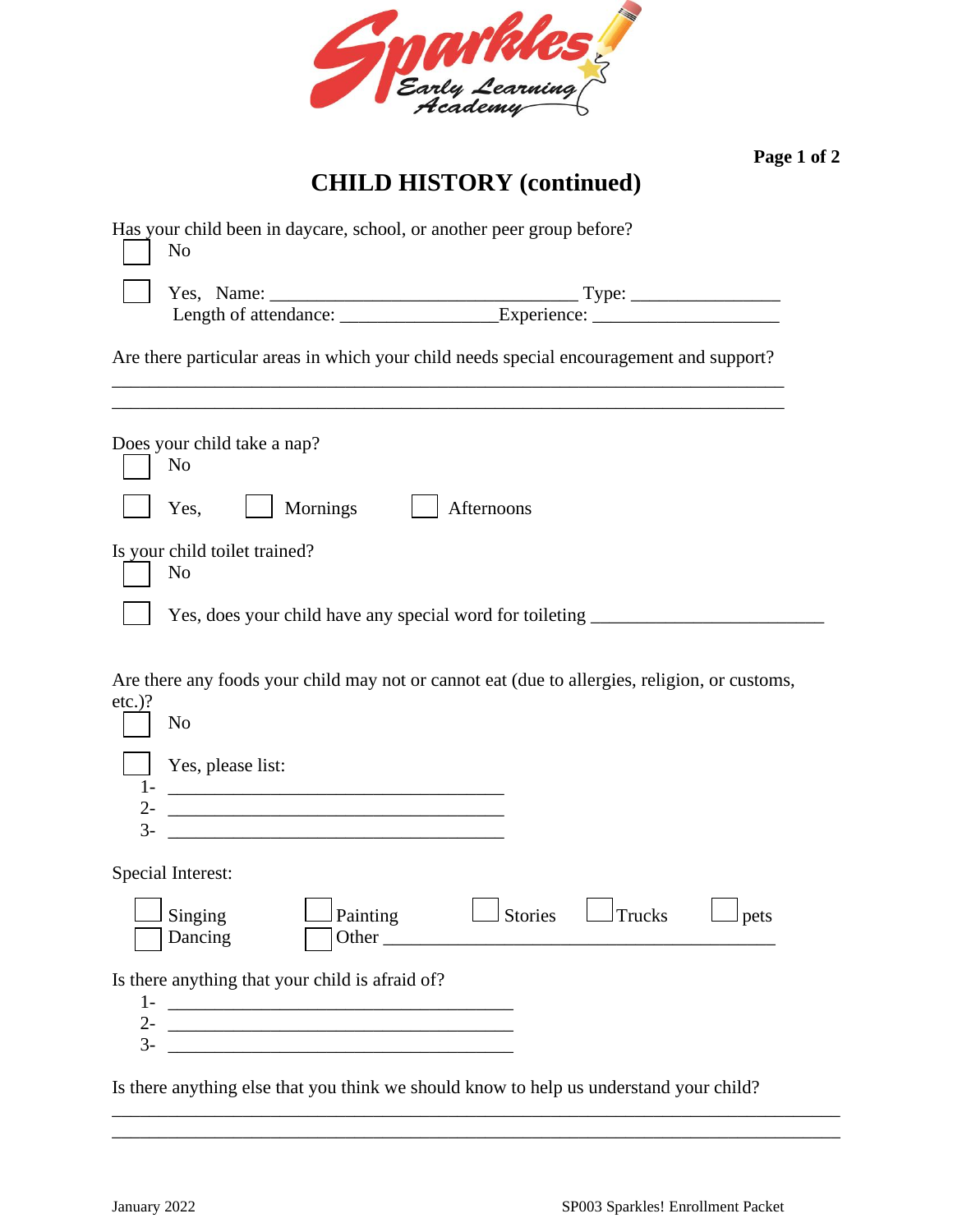

**Page 1 of 2**

# **CHILD HISTORY (continued)**

|               | Has your child been in daycare, school, or another peer group before?<br>No                                                                                                                                                    |
|---------------|--------------------------------------------------------------------------------------------------------------------------------------------------------------------------------------------------------------------------------|
|               | Yes, Name: Type: Type: Type: Type: Type: Type: Type: Type: Type: Type: Type: Type: Type: Type: Type: Type: Type: Type: Type: Type: Type: Type: Type: Type: Type: Type: Type: Type: Type: Type: Type: Type: Type: Type: Type: T |
|               | Are there particular areas in which your child needs special encouragement and support?                                                                                                                                        |
|               | Does your child take a nap?<br>N <sub>0</sub>                                                                                                                                                                                  |
|               | Mornings<br>Afternoons<br>Yes,                                                                                                                                                                                                 |
|               | Is your child toilet trained?<br>No                                                                                                                                                                                            |
|               | Yes, does your child have any special word for toileting _______________________                                                                                                                                               |
| $etc.$ )?     | Are there any foods your child may not or cannot eat (due to allergies, religion, or customs,<br>N <sub>o</sub>                                                                                                                |
| $1-$<br>$2 -$ | Yes, please list:<br><u> 1989 - Jan Barbara Barat, martin da basar da basar da basar da basar da basar da basar da basar da basar da b</u>                                                                                     |
|               |                                                                                                                                                                                                                                |
|               | Special Interest:                                                                                                                                                                                                              |
|               | $\Box$ Singing<br>$\Box$ Painting<br>$\Box$ Stories $\Box$ Trucks<br>$\Box$ pets<br>Dancing                                                                                                                                    |
|               | Is there anything that your child is afraid of?                                                                                                                                                                                |
|               |                                                                                                                                                                                                                                |
| $3-$          |                                                                                                                                                                                                                                |
|               | Is there anything else that you think we should know to help us understand your child?                                                                                                                                         |

\_\_\_\_\_\_\_\_\_\_\_\_\_\_\_\_\_\_\_\_\_\_\_\_\_\_\_\_\_\_\_\_\_\_\_\_\_\_\_\_\_\_\_\_\_\_\_\_\_\_\_\_\_\_\_\_\_\_\_\_\_\_\_\_\_\_\_\_\_\_\_\_\_\_\_\_\_\_ \_\_\_\_\_\_\_\_\_\_\_\_\_\_\_\_\_\_\_\_\_\_\_\_\_\_\_\_\_\_\_\_\_\_\_\_\_\_\_\_\_\_\_\_\_\_\_\_\_\_\_\_\_\_\_\_\_\_\_\_\_\_\_\_\_\_\_\_\_\_\_\_\_\_\_\_\_\_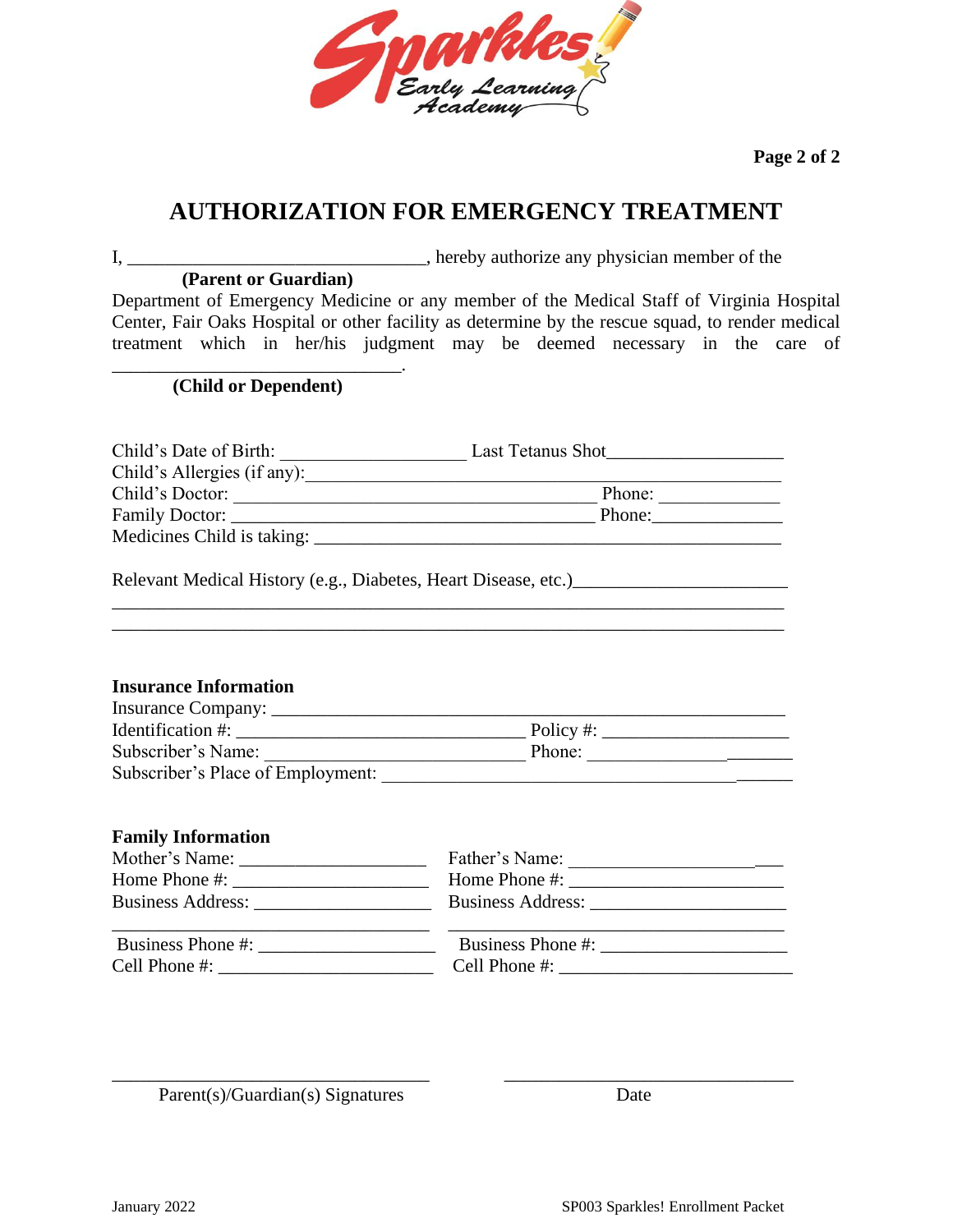

**Page 2 of 2**

## **AUTHORIZATION FOR EMERGENCY TREATMENT**

I, \_\_\_\_\_\_\_\_\_\_\_\_\_\_\_\_\_\_\_\_\_\_\_\_\_\_\_\_\_\_\_\_, hereby authorize any physician member of the **(Parent or Guardian)**

Department of Emergency Medicine or any member of the Medical Staff of Virginia Hospital Center, Fair Oaks Hospital or other facility as determine by the rescue squad, to render medical treatment which in her/his judgment may be deemed necessary in the care of

\_\_\_\_\_\_\_\_\_\_\_\_\_\_\_\_\_\_\_\_\_\_\_\_\_\_\_\_\_\_\_. **(Child or Dependent)**

| Child's Date of Birth:      | Last Tetanus Shot |
|-----------------------------|-------------------|
| Child's Allergies (if any): |                   |
| Child's Doctor:             | Phone:            |
|                             | Phone:            |
| Medicines Child is taking:  |                   |

\_\_\_\_\_\_\_\_\_\_\_\_\_\_\_\_\_\_\_\_\_\_\_\_\_\_\_\_\_\_\_\_\_\_\_\_\_\_\_\_\_\_\_\_\_\_\_\_\_\_\_\_\_\_\_\_\_\_\_\_\_\_\_\_\_\_\_\_\_\_\_\_

Relevant Medical History (e.g., Diabetes, Heart Disease, etc.)\_\_\_\_\_\_\_\_\_\_\_\_\_\_\_\_\_\_\_

## **Insurance Information**

| Insurance Company:                |           |
|-----------------------------------|-----------|
| <b>Identification</b> #:          | Policy #: |
| Subscriber's Name:                | Phone:    |
| Subscriber's Place of Employment: |           |

## **Family Information**

|                          | Father's Name:                                                                                                                                                                                                                                                                                                     |
|--------------------------|--------------------------------------------------------------------------------------------------------------------------------------------------------------------------------------------------------------------------------------------------------------------------------------------------------------------|
|                          | Home Phone #: $\frac{1}{2}$ $\frac{1}{2}$ $\frac{1}{2}$ $\frac{1}{2}$ $\frac{1}{2}$ $\frac{1}{2}$ $\frac{1}{2}$ $\frac{1}{2}$ $\frac{1}{2}$ $\frac{1}{2}$ $\frac{1}{2}$ $\frac{1}{2}$ $\frac{1}{2}$ $\frac{1}{2}$ $\frac{1}{2}$ $\frac{1}{2}$ $\frac{1}{2}$ $\frac{1}{2}$ $\frac{1}{2}$ $\frac{1}{2}$ $\frac{1}{2$ |
| <b>Business Address:</b> | Business Address:                                                                                                                                                                                                                                                                                                  |
| Business Phone #:        | Business Phone #:                                                                                                                                                                                                                                                                                                  |
| Cell Phone #:            | Cell Phone #:                                                                                                                                                                                                                                                                                                      |

\_\_\_\_\_\_\_\_\_\_\_\_\_\_\_\_\_\_\_\_\_\_\_\_\_\_\_\_\_\_\_\_\_\_ \_\_\_\_\_\_\_\_\_\_\_\_\_\_\_\_\_\_\_\_\_\_\_\_\_\_\_\_\_\_\_

Parent(s)/Guardian(s) Signatures Date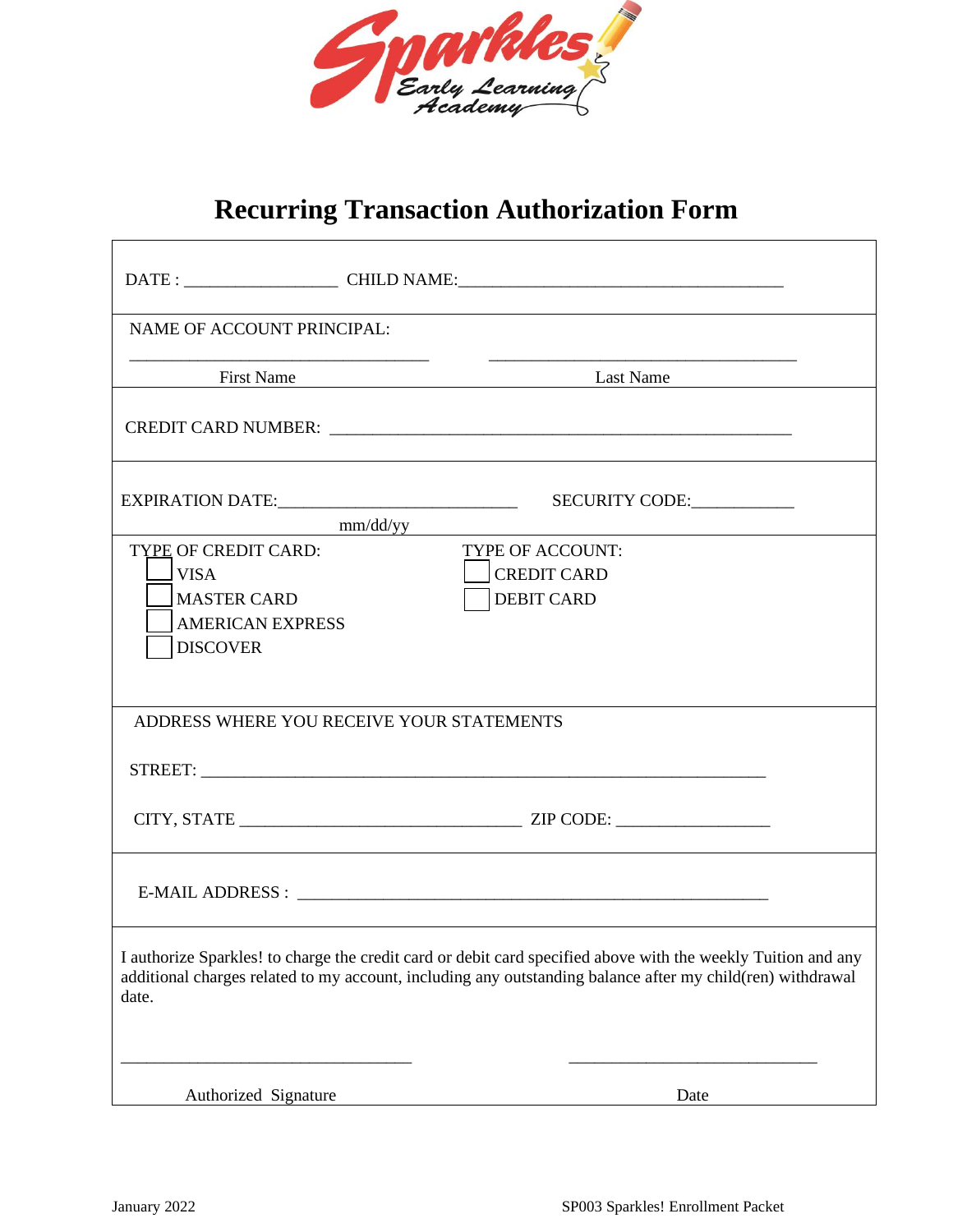

# **Recurring Transaction Authorization Form**

| NAME OF ACCOUNT PRINCIPAL:                                                                                                                                                                                                           |                                                  |
|--------------------------------------------------------------------------------------------------------------------------------------------------------------------------------------------------------------------------------------|--------------------------------------------------|
|                                                                                                                                                                                                                                      | <b>Example 19 First Name</b> Last Name Last Name |
|                                                                                                                                                                                                                                      |                                                  |
| mm/dd/yy                                                                                                                                                                                                                             | SECURITY CODE:                                   |
| TYPE OF CREDIT CARD:                                                                                                                                                                                                                 | <b>TYPE OF ACCOUNT:</b>                          |
| ⊥VISA                                                                                                                                                                                                                                | <b>CREDIT CARD</b>                               |
| <b>IMASTER CARD</b>                                                                                                                                                                                                                  | <b>DEBIT CARD</b>                                |
| <b>AMERICAN EXPRESS</b>                                                                                                                                                                                                              |                                                  |
| <b>DISCOVER</b>                                                                                                                                                                                                                      |                                                  |
|                                                                                                                                                                                                                                      |                                                  |
| ADDRESS WHERE YOU RECEIVE YOUR STATEMENTS                                                                                                                                                                                            |                                                  |
| STREET: New York STREET:                                                                                                                                                                                                             |                                                  |
|                                                                                                                                                                                                                                      |                                                  |
|                                                                                                                                                                                                                                      |                                                  |
| I authorize Sparkles! to charge the credit card or debit card specified above with the weekly Tuition and any<br>additional charges related to my account, including any outstanding balance after my child(ren) withdrawal<br>date. |                                                  |
| Authorized Signature                                                                                                                                                                                                                 | Date                                             |

 $\overline{1}$ 

٦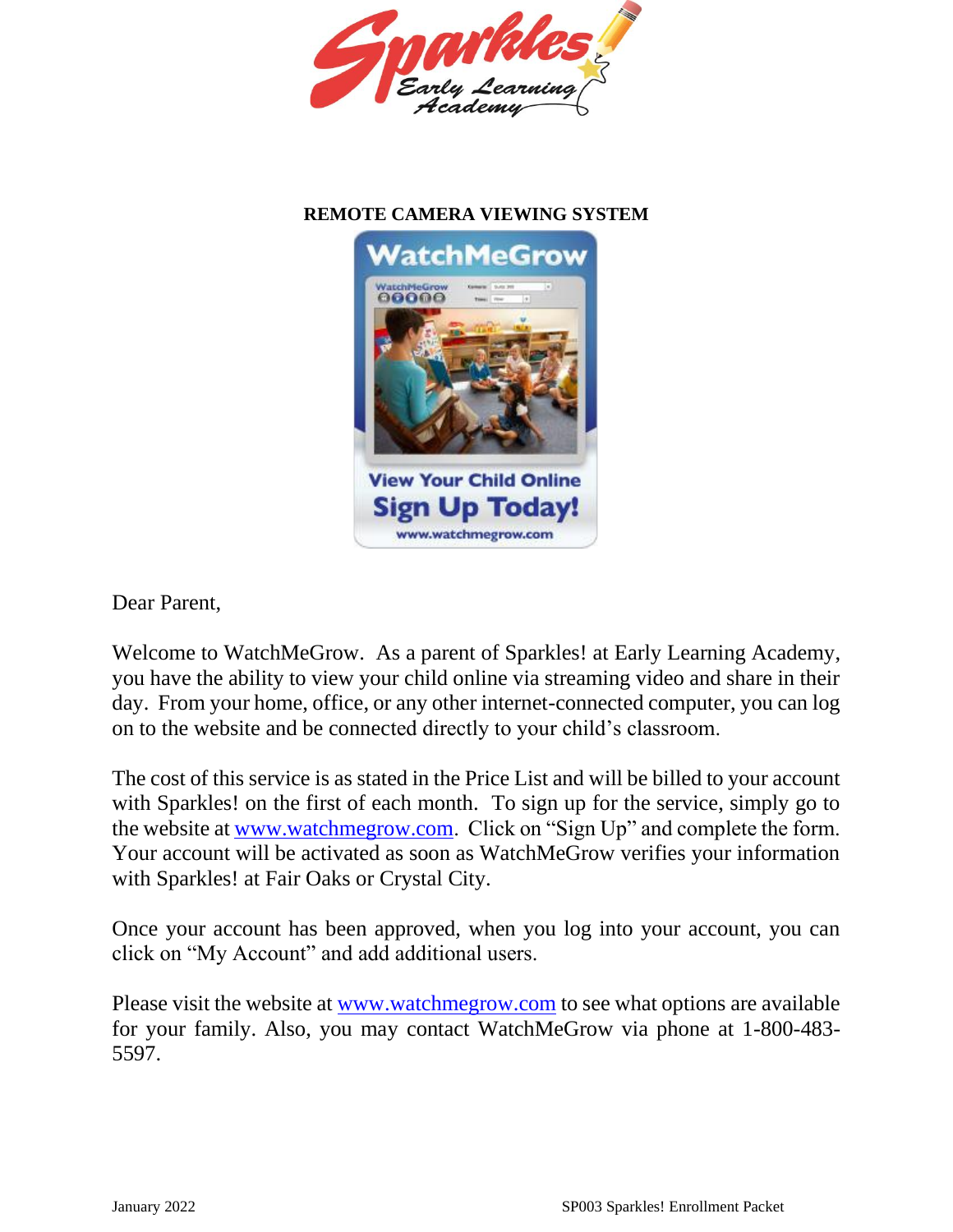

## **REMOTE CAMERA VIEWING SYSTEM**



Dear Parent,

Welcome to WatchMeGrow. As a parent of Sparkles! at Early Learning Academy, you have the ability to view your child online via streaming video and share in their day. From your home, office, or any other internet-connected computer, you can log on to the website and be connected directly to your child's classroom.

The cost of this service is as stated in the Price List and will be billed to your account with Sparkles! on the first of each month. To sign up for the service, simply go to the website at [www.watchmegrow.com.](http://www.watchmegrow.com/) Click on "Sign Up" and complete the form. Your account will be activated as soon as WatchMeGrow verifies your information with Sparkles! at Fair Oaks or Crystal City.

Once your account has been approved, when you log into your account, you can click on "My Account" and add additional users.

Please visit the website at [www.watchmegrow.com](http://www.watchmegrow.com/) to see what options are available for your family. Also, you may contact WatchMeGrow via phone at 1-800-483- 5597.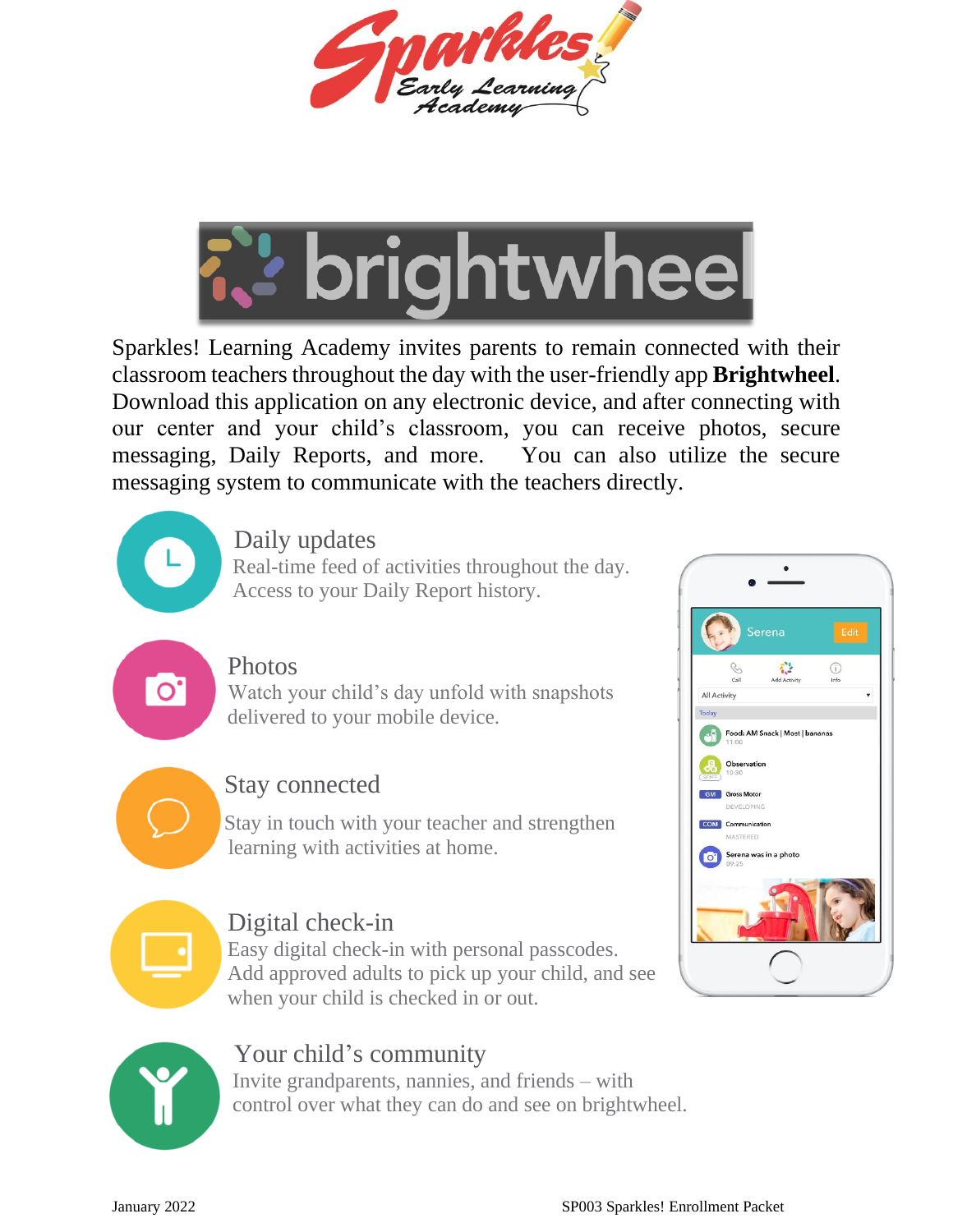



Sparkles! Learning Academy invites parents to remain connected with their classroom teachers throughout the day with the user-friendly app **Brightwheel**. Download this application on any electronic device, and after connecting with our center and your child's classroom, you can receive photos, secure messaging, Daily Reports, and more. You can also utilize the secure messaging system to communicate with the teachers directly.

Daily updates

 Real-time feed of activities throughout the day. Access to your Daily Report history.

## Photos

**O** Watch your child's day unfold with snapshots delivered to your mobile device.



# Stay connected

Stay in touch with your teacher and strengthen learning with activities at home.



## Digital check-in

 Easy digital check-in with personal passcodes. Add approved adults to pick up your child, and see when your child is checked in or out.





## Your child's community

 Invite grandparents, nannies, and friends – with control over what they can do and see on brightwheel.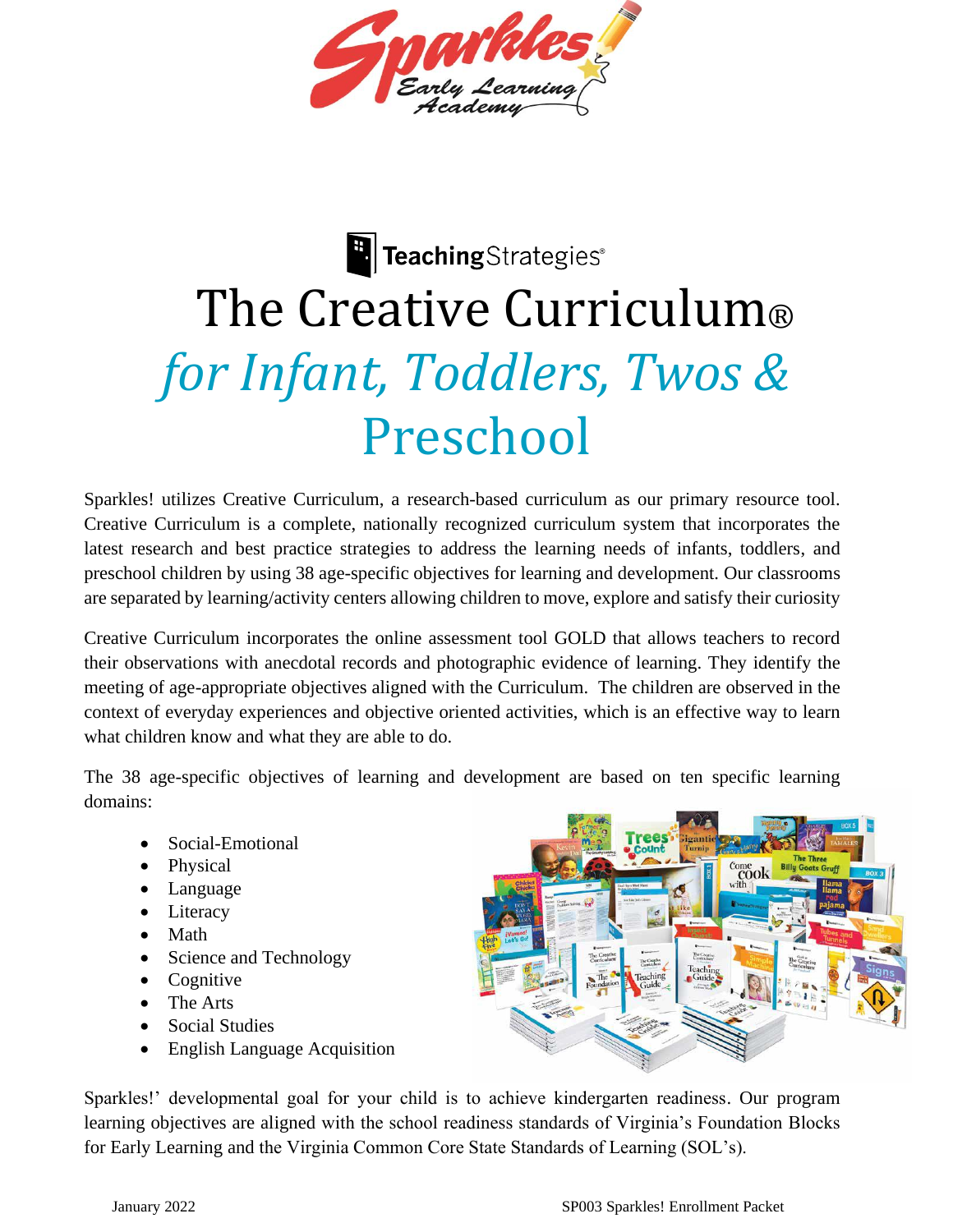

# **E** TeachingStrategies® The Creative Curriculum® *for Infant, Toddlers, Twos &*  Preschool

Sparkles! utilizes Creative Curriculum, a research-based curriculum as our primary resource tool. Creative Curriculum is a complete, nationally recognized curriculum system that incorporates the latest research and best practice strategies to address the learning needs of infants, toddlers, and preschool children by using 38 age-specific objectives for learning and development. Our classrooms are separated by learning/activity centers allowing children to move, explore and satisfy their curiosity

Creative Curriculum incorporates the online assessment tool GOLD that allows teachers to record their observations with anecdotal records and photographic evidence of learning. They identify the meeting of age-appropriate objectives aligned with the Curriculum. The children are observed in the context of everyday experiences and objective oriented activities, which is an effective way to learn what children know and what they are able to do.

The 38 age-specific objectives of learning and development are based on ten specific learning domains:

- Social-Emotional
- Physical
- Language
- Literacy
- Math
- Science and Technology
- Cognitive
- The Arts
- Social Studies
- English Language Acquisition

Sparkles!' developmental goal for your child is to achieve kindergarten readiness. Our program learning objectives are aligned with the school readiness standards of Virginia's Foundation Blocks for Early Learning and the Virginia Common Core State Standards of Learning (SOL's).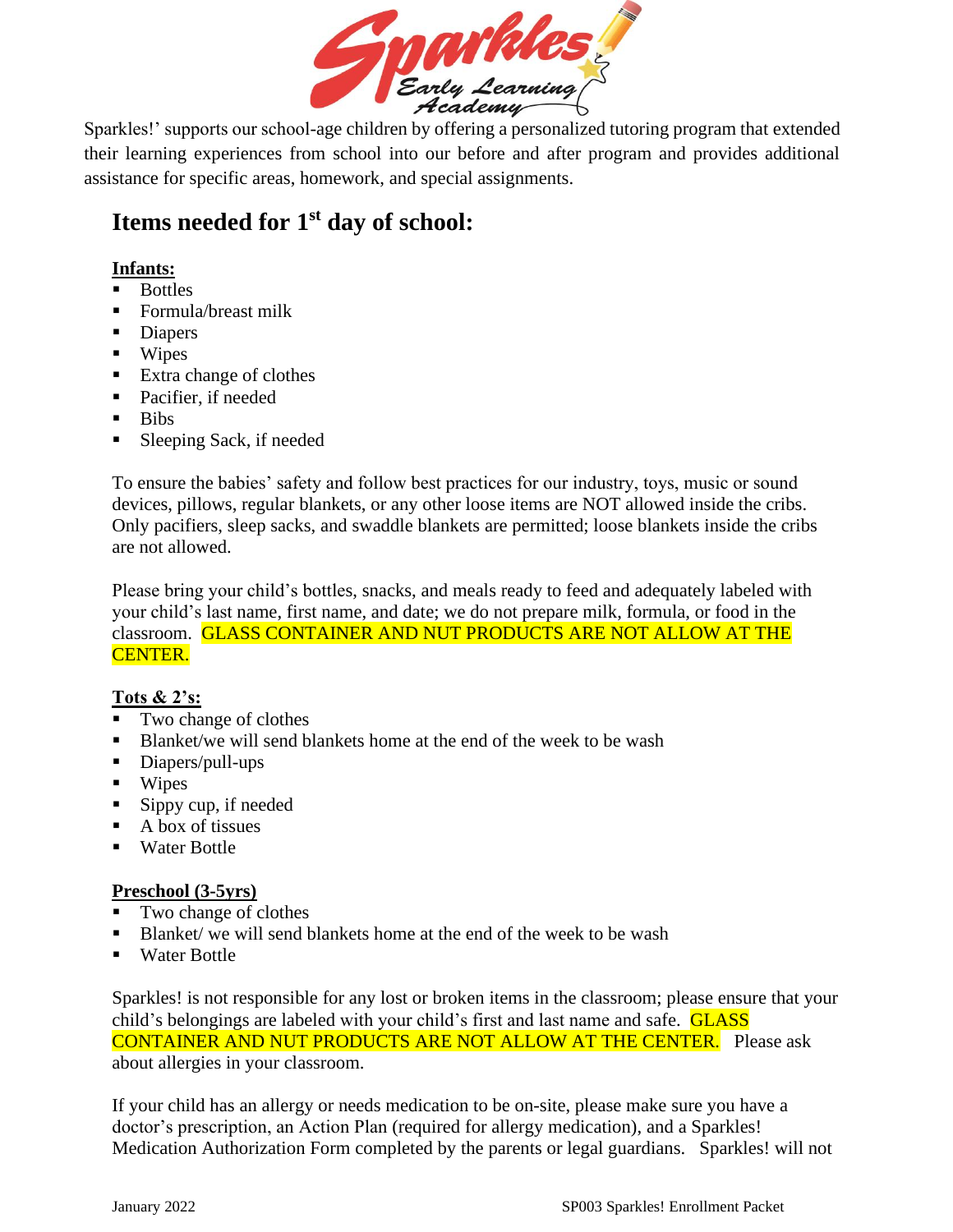

 Sparkles!' supports our school-age children by offering a personalized tutoring program that extended their learning experiences from school into our before and after program and provides additional assistance for specific areas, homework, and special assignments.

# **Items needed for 1st day of school:**

## **Infants:**

- Bottles
- Formula/breast milk
- Diapers
- Wipes
- Extra change of clothes
- Pacifier, if needed
- Bibs
- Sleeping Sack, if needed

To ensure the babies' safety and follow best practices for our industry, toys, music or sound devices, pillows, regular blankets, or any other loose items are NOT allowed inside the cribs. Only pacifiers, sleep sacks, and swaddle blankets are permitted; loose blankets inside the cribs are not allowed.

Please bring your child's bottles, snacks, and meals ready to feed and adequately labeled with your child's last name, first name, and date; we do not prepare milk, formula, or food in the classroom. GLASS CONTAINER AND NUT PRODUCTS ARE NOT ALLOW AT THE CENTER.

## **Tots & 2's:**

- Two change of clothes
- Blanket/we will send blankets home at the end of the week to be wash
- Diapers/pull-ups
- Wipes
- $\blacksquare$  Sippy cup, if needed
- $\blacksquare$  A box of tissues
- Water Bottle

## **Preschool (3-5yrs)**

- Two change of clothes
- Blanket/ we will send blankets home at the end of the week to be wash
- Water Bottle

Sparkles! is not responsible for any lost or broken items in the classroom; please ensure that your child's belongings are labeled with your child's first and last name and safe. GLASS CONTAINER AND NUT PRODUCTS ARE NOT ALLOW AT THE CENTER. Please ask about allergies in your classroom.

If your child has an allergy or needs medication to be on-site, please make sure you have a doctor's prescription, an Action Plan (required for allergy medication), and a Sparkles! Medication Authorization Form completed by the parents or legal guardians. Sparkles! will not